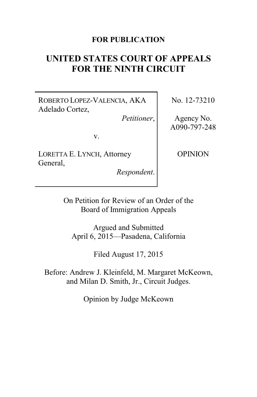## **FOR PUBLICATION**

# **UNITED STATES COURT OF APPEALS FOR THE NINTH CIRCUIT**

ROBERTO LOPEZ-VALENCIA, AKA Adelado Cortez,

*Petitioner*,

v.

LORETTA E. LYNCH, Attorney General,

*Respondent*.

No. 12-73210

Agency No. A090-797-248

OPINION

On Petition for Review of an Order of the Board of Immigration Appeals

Argued and Submitted April 6, 2015—Pasadena, California

Filed August 17, 2015

Before: Andrew J. Kleinfeld, M. Margaret McKeown, and Milan D. Smith, Jr., Circuit Judges.

Opinion by Judge McKeown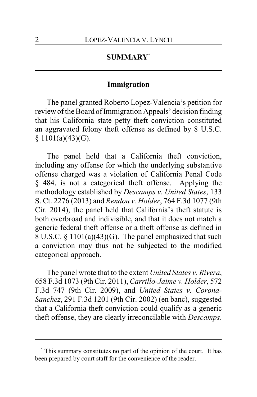# **SUMMARY\***

### **Immigration**

The panel granted Roberto Lopez-Valencia's petition for review of the Board of Immigration Appeals' decision finding that his California state petty theft conviction constituted an aggravated felony theft offense as defined by 8 U.S.C.  $§ 1101(a)(43)(G).$ 

The panel held that a California theft conviction, including any offense for which the underlying substantive offense charged was a violation of California Penal Code § 484, is not a categorical theft offense. Applying the methodology established by *Descamps v. United States*, 133 S. Ct. 2276 (2013) and *Rendon v. Holder*, 764 F.3d 1077 (9th Cir. 2014), the panel held that California's theft statute is both overbroad and indivisible, and that it does not match a generic federal theft offense or a theft offense as defined in 8 U.S.C. § 1101(a)(43)(G). The panel emphasized that such a conviction may thus not be subjected to the modified categorical approach.

The panel wrote that to the extent *United States v. Rivera*, 658 F.3d 1073 (9th Cir. 2011), *Carrillo-Jaime v. Holder*, 572 F.3d 747 (9th Cir. 2009), and *United States v. Corona-Sanchez*, 291 F.3d 1201 (9th Cir. 2002) (en banc), suggested that a California theft conviction could qualify as a generic theft offense, they are clearly irreconcilable with *Descamps*.

**<sup>\*</sup>** This summary constitutes no part of the opinion of the court. It has been prepared by court staff for the convenience of the reader.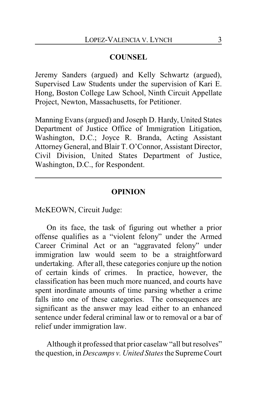## **COUNSEL**

Jeremy Sanders (argued) and Kelly Schwartz (argued), Supervised Law Students under the supervision of Kari E. Hong, Boston College Law School, Ninth Circuit Appellate Project, Newton, Massachusetts, for Petitioner.

Manning Evans (argued) and Joseph D. Hardy, United States Department of Justice Office of Immigration Litigation, Washington, D.C.; Joyce R. Branda, Acting Assistant AttorneyGeneral, and Blair T. O'Connor, Assistant Director, Civil Division, United States Department of Justice, Washington, D.C., for Respondent.

#### **OPINION**

McKEOWN, Circuit Judge:

On its face, the task of figuring out whether a prior offense qualifies as a "violent felony" under the Armed Career Criminal Act or an "aggravated felony" under immigration law would seem to be a straightforward undertaking. After all, these categories conjure up the notion of certain kinds of crimes. In practice, however, the classification has been much more nuanced, and courts have spent inordinate amounts of time parsing whether a crime falls into one of these categories. The consequences are significant as the answer may lead either to an enhanced sentence under federal criminal law or to removal or a bar of relief under immigration law.

Although it professed that prior caselaw "all but resolves" the question, in *Descamps v. United States*the Supreme Court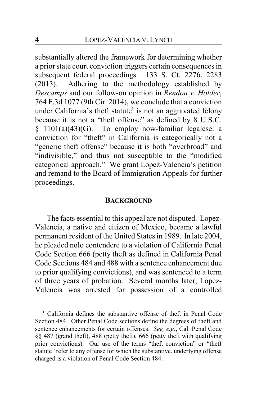substantially altered the framework for determining whether a prior state court conviction triggers certain consequences in subsequent federal proceedings. 133 S. Ct. 2276, 2283 (2013). Adhering to the methodology established by *Descamps* and our follow-on opinion in *Rendon v. Holder*, 764 F.3d 1077 (9th Cir. 2014), we conclude that a conviction under California's theft statute**<sup>1</sup>** is not an aggravated felony because it is not a "theft offense" as defined by 8 U.S.C. § 1101(a)(43)(G). To employ now-familiar legalese: a conviction for "theft" in California is categorically not a "generic theft offense" because it is both "overbroad" and "indivisible," and thus not susceptible to the "modified categorical approach." We grant Lopez-Valencia's petition and remand to the Board of Immigration Appeals for further proceedings.

#### **BACKGROUND**

The facts essential to this appeal are not disputed. Lopez-Valencia, a native and citizen of Mexico, became a lawful permanent resident of the United States in 1989. In late 2004, he pleaded nolo contendere to a violation of California Penal Code Section 666 (petty theft as defined in California Penal Code Sections 484 and 488 with a sentence enhancement due to prior qualifying convictions), and was sentenced to a term of three years of probation. Several months later, Lopez-Valencia was arrested for possession of a controlled

**<sup>1</sup>** California defines the substantive offense of theft in Penal Code Section 484. Other Penal Code sections define the degrees of theft and sentence enhancements for certain offenses. *See, e.g.*, Cal. Penal Code §§ 487 (grand theft), 488 (petty theft), 666 (petty theft with qualifying prior convictions). Our use of the terms "theft conviction" or "theft statute" refer to any offense for which the substantive, underlying offense charged is a violation of Penal Code Section 484.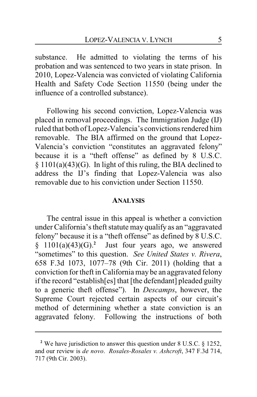substance. He admitted to violating the terms of his probation and was sentenced to two years in state prison. In 2010, Lopez-Valencia was convicted of violating California Health and Safety Code Section 11550 (being under the influence of a controlled substance).

Following his second conviction, Lopez-Valencia was placed in removal proceedings. The Immigration Judge (IJ) ruled that both of Lopez-Valencia's convictions rendered him removable. The BIA affirmed on the ground that Lopez-Valencia's conviction "constitutes an aggravated felony" because it is a "theft offense" as defined by 8 U.S.C. § 1101(a)(43)(G). In light of this ruling, the BIA declined to address the IJ's finding that Lopez-Valencia was also removable due to his conviction under Section 11550.

#### **ANALYSIS**

The central issue in this appeal is whether a conviction under California's theft statute may qualify as an "aggravated felony" because it is a "theft offense" as defined by 8 U.S.C.  $§$  1101(a)(43)(G).<sup>2</sup> Just four years ago, we answered "sometimes" to this question. *See United States v. Rivera*, 658 F.3d 1073, 1077–78 (9th Cir. 2011) (holding that a conviction for theft in California may be an aggravated felony if the record "establish[es] that [the defendant] pleaded guilty to a generic theft offense"). In *Descamps*, however, the Supreme Court rejected certain aspects of our circuit's method of determining whether a state conviction is an aggravated felony. Following the instructions of both

**<sup>2</sup>** We have jurisdiction to answer this question under 8 U.S.C. § 1252, and our review is *de novo*. *Rosales-Rosales v. Ashcroft*, 347 F.3d 714, 717 (9th Cir. 2003).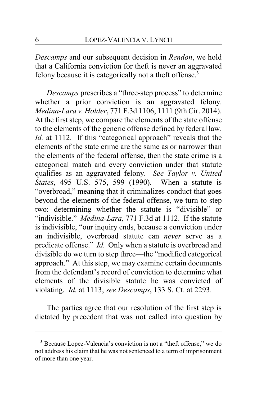*Descamps* and our subsequent decision in *Rendon*, we hold that a California conviction for theft is never an aggravated felony because it is categorically not a theft offense.**<sup>3</sup>**

*Descamps* prescribes a "three-step process" to determine whether a prior conviction is an aggravated felony. *Medina-Lara v. Holder*, 771 F.3d 1106, 1111 (9th Cir. 2014). At the first step, we compare the elements of the state offense to the elements of the generic offense defined by federal law. *Id.* at 1112. If this "categorical approach" reveals that the elements of the state crime are the same as or narrower than the elements of the federal offense, then the state crime is a categorical match and every conviction under that statute qualifies as an aggravated felony. *See Taylor v. United States*, 495 U.S. 575, 599 (1990). When a statute is "overbroad," meaning that it criminalizes conduct that goes beyond the elements of the federal offense, we turn to step two: determining whether the statute is "divisible" or "indivisible." *Medina-Lara*, 771 F.3d at 1112. If the statute is indivisible, "our inquiry ends, because a conviction under an indivisible, overbroad statute can *never* serve as a predicate offense." *Id.* Only when a statute is overbroad and divisible do we turn to step three—the "modified categorical approach." At this step, we may examine certain documents from the defendant's record of conviction to determine what elements of the divisible statute he was convicted of violating. *Id.* at 1113; *see Descamps*, 133 S. Ct. at 2293.

The parties agree that our resolution of the first step is dictated by precedent that was not called into question by

**<sup>3</sup>** Because Lopez-Valencia's conviction is not a "theft offense," we do not address his claim that he was not sentenced to a term of imprisonment of more than one year.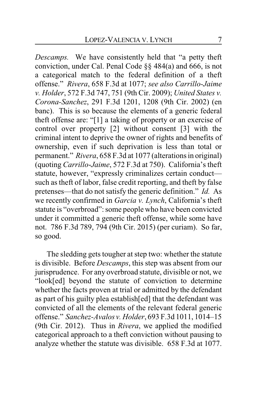*Descamps.* We have consistently held that "a petty theft conviction, under Cal. Penal Code §§ 484(a) and 666, is not a categorical match to the federal definition of a theft offense." *Rivera*, 658 F.3d at 1077; *see also Carrillo-Jaime v. Holder*, 572 F.3d 747, 751 (9th Cir. 2009); *United States v. Corona-Sanchez*, 291 F.3d 1201, 1208 (9th Cir. 2002) (en banc). This is so because the elements of a generic federal theft offense are: "[1] a taking of property or an exercise of control over property [2] without consent [3] with the criminal intent to deprive the owner of rights and benefits of ownership, even if such deprivation is less than total or permanent." *Rivera*, 658 F.3d at 1077 (alterations in original) (quoting *Carrillo*-*Jaime*, 572 F.3d at 750). California's theft statute, however, "expressly criminalizes certain conduct such as theft of labor, false credit reporting, and theft by false pretenses—that do not satisfy the generic definition." *Id.* As we recently confirmed in *Garcia v. Lynch*, California's theft statute is "overbroad": some people who have been convicted under it committed a generic theft offense, while some have not. 786 F.3d 789, 794 (9th Cir. 2015) (per curiam). So far, so good.

The sledding gets tougher at step two: whether the statute is divisible. Before *Descamps*, this step was absent from our jurisprudence. For any overbroad statute, divisible or not, we "look[ed] beyond the statute of conviction to determine whether the facts proven at trial or admitted by the defendant as part of his guilty plea establish[ed] that the defendant was convicted of all the elements of the relevant federal generic offense." *Sanchez-Avalos v. Holder*, 693 F.3d 1011, 1014–15 (9th Cir. 2012). Thus in *Rivera*, we applied the modified categorical approach to a theft conviction without pausing to analyze whether the statute was divisible. 658 F.3d at 1077.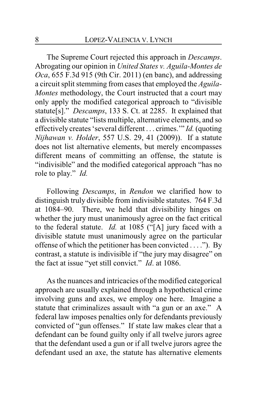The Supreme Court rejected this approach in *Descamps*. Abrogating our opinion in *United States v. Aguila-Montes de Oca*, 655 F.3d 915 (9th Cir. 2011) (en banc), and addressing a circuit split stemming from cases that employed the *Aguila-Montes* methodology, the Court instructed that a court may only apply the modified categorical approach to "divisible statute[s]." *Descamps*, 133 S. Ct. at 2285. It explained that a divisible statute "lists multiple, alternative elements, and so effectively creates 'several different . . . crimes.'" *Id.* (quoting *Nijhawan v. Holder*, 557 U.S. 29, 41 (2009)). If a statute does not list alternative elements, but merely encompasses different means of committing an offense, the statute is "indivisible" and the modified categorical approach "has no role to play." *Id.*

Following *Descamps*, in *Rendon* we clarified how to distinguish truly divisible from indivisible statutes. 764 F.3d at 1084–90. There, we held that divisibility hinges on whether the jury must unanimously agree on the fact critical to the federal statute. *Id.* at 1085 ("[A] jury faced with a divisible statute must unanimously agree on the particular offense of which the petitioner has been convicted . . . ."). By contrast, a statute is indivisible if "the jury may disagree" on the fact at issue "yet still convict." *Id*. at 1086.

As the nuances and intricacies of the modified categorical approach are usually explained through a hypothetical crime involving guns and axes, we employ one here. Imagine a statute that criminalizes assault with "a gun or an axe." A federal law imposes penalties only for defendants previously convicted of "gun offenses." If state law makes clear that a defendant can be found guilty only if all twelve jurors agree that the defendant used a gun or if all twelve jurors agree the defendant used an axe, the statute has alternative elements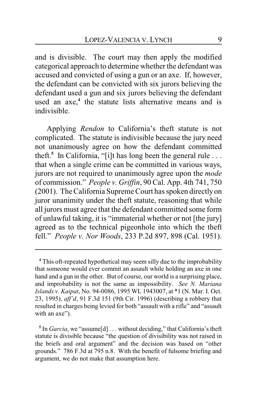and is divisible. The court may then apply the modified categorical approach to determine whether the defendant was accused and convicted of using a gun or an axe. If, however, the defendant can be convicted with six jurors believing the defendant used a gun and six jurors believing the defendant used an axe, **4** the statute lists alternative means and is indivisible.

Applying *Rendon* to California's theft statute is not complicated. The statute is indivisible because the jury need not unanimously agree on how the defendant committed theft.**<sup>5</sup>** In California, "[i]t has long been the general rule . . . that when a single crime can be committed in various ways, jurors are not required to unanimously agree upon the *mode* of commission." *People v. Griffin*, 90 Cal. App. 4th 741, 750 (2001). The California Supreme Court has spoken directly on juror unanimity under the theft statute, reasoning that while all jurors must agree that the defendant committed some form of unlawful taking, it is "immaterial whether or not [the jury] agreed as to the technical pigeonhole into which the theft fell." *People v. Nor Woods*, 233 P.2d 897, 898 (Cal. 1951).

**<sup>4</sup>** This oft-repeated hypothetical may seem silly due to the improbability that someone would ever commit an assault while holding an axe in one hand and a gun in the other. But of course, our world is a surprising place, and improbability is not the same as impossibility. *See N. Mariana Islands v. Kaipat*, No. 94-0086, 1995 WL 1943007, at \*1 (N. Mar. I. Oct. 23, 1995), *aff'd*, 91 F.3d 151 (9th Cir. 1996) (describing a robbery that resulted in charges being levied for both "assault with a rifle" and "assault with an axe").

<sup>&</sup>lt;sup>5</sup> In *Garcia*, we "assume[d] . . . without deciding," that California's theft statute is divisible because "the question of divisibility was not raised in the briefs and oral argument" and the decision was based on "other grounds." 786 F.3d at 795 n.8. With the benefit of fulsome briefing and argument, we do not make that assumption here.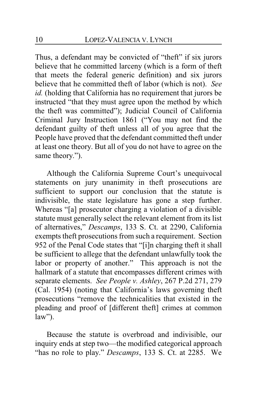Thus, a defendant may be convicted of "theft" if six jurors believe that he committed larceny (which is a form of theft that meets the federal generic definition) and six jurors believe that he committed theft of labor (which is not). *See id.* (holding that California has no requirement that jurors be instructed "that they must agree upon the method by which the theft was committed"); Judicial Council of California Criminal Jury Instruction 1861 ("You may not find the defendant guilty of theft unless all of you agree that the People have proved that the defendant committed theft under at least one theory. But all of you do not have to agree on the same theory.").

Although the California Supreme Court's unequivocal statements on jury unanimity in theft prosecutions are sufficient to support our conclusion that the statute is indivisible, the state legislature has gone a step further. Whereas "[a] prosecutor charging a violation of a divisible statute must generally select the relevant element from its list of alternatives," *Descamps*, 133 S. Ct. at 2290, California exempts theft prosecutions from such a requirement. Section 952 of the Penal Code states that "[i]n charging theft it shall be sufficient to allege that the defendant unlawfully took the labor or property of another." This approach is not the hallmark of a statute that encompasses different crimes with separate elements. *See People v. Ashley*, 267 P.2d 271, 279 (Cal. 1954) (noting that California's laws governing theft prosecutions "remove the technicalities that existed in the pleading and proof of [different theft] crimes at common  $law$ ").

Because the statute is overbroad and indivisible, our inquiry ends at step two—the modified categorical approach "has no role to play." *Descamps*, 133 S. Ct. at 2285. We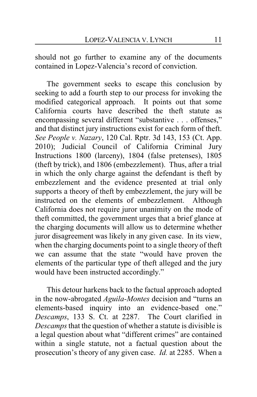should not go further to examine any of the documents contained in Lopez-Valencia's record of conviction.

The government seeks to escape this conclusion by seeking to add a fourth step to our process for invoking the modified categorical approach. It points out that some California courts have described the theft statute as encompassing several different "substantive . . . offenses," and that distinct jury instructions exist for each form of theft. *See People v. Nazary*, 120 Cal. Rptr. 3d 143, 153 (Ct. App. 2010); Judicial Council of California Criminal Jury Instructions 1800 (larceny), 1804 (false pretenses), 1805 (theft by trick), and 1806 (embezzlement). Thus, after a trial in which the only charge against the defendant is theft by embezzlement and the evidence presented at trial only supports a theory of theft by embezzlement, the jury will be instructed on the elements of embezzlement. Although California does not require juror unanimity on the mode of theft committed, the government urges that a brief glance at the charging documents will allow us to determine whether juror disagreement was likely in any given case. In its view, when the charging documents point to a single theory of theft we can assume that the state "would have proven the elements of the particular type of theft alleged and the jury would have been instructed accordingly."

This detour harkens back to the factual approach adopted in the now-abrogated *Aguila-Montes* decision and "turns an elements-based inquiry into an evidence-based one." *Descamps*, 133 S. Ct. at 2287. The Court clarified in *Descamps*that the question of whether a statute is divisible is a legal question about what "different crimes" are contained within a single statute, not a factual question about the prosecution's theory of any given case. *Id.* at 2285. When a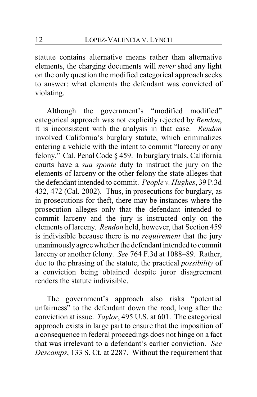statute contains alternative means rather than alternative elements, the charging documents will *never* shed any light on the only question the modified categorical approach seeks to answer: what elements the defendant was convicted of violating.

Although the government's "modified modified" categorical approach was not explicitly rejected by *Rendon*, it is inconsistent with the analysis in that case. *Rendon* involved California's burglary statute, which criminalizes entering a vehicle with the intent to commit "larceny or any felony." Cal. Penal Code § 459. In burglary trials, California courts have a *sua sponte* duty to instruct the jury on the elements of larceny or the other felony the state alleges that the defendant intended to commit. *People v. Hughes*, 39 P.3d 432, 472 (Cal. 2002). Thus, in prosecutions for burglary, as in prosecutions for theft, there may be instances where the prosecution alleges only that the defendant intended to commit larceny and the jury is instructed only on the elements of larceny. *Rendon* held, however, that Section 459 is indivisible because there is no *requirement* that the jury unanimouslyagree whether the defendant intended to commit larceny or another felony. *See* 764 F.3d at 1088–89. Rather, due to the phrasing of the statute, the practical *possibility* of a conviction being obtained despite juror disagreement renders the statute indivisible.

The government's approach also risks "potential unfairness" to the defendant down the road, long after the conviction at issue. *Taylor*, 495 U.S. at 601. The categorical approach exists in large part to ensure that the imposition of a consequence in federal proceedings does not hinge on a fact that was irrelevant to a defendant's earlier conviction. *See Descamps*, 133 S. Ct. at 2287. Without the requirement that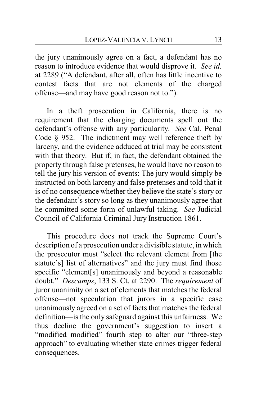the jury unanimously agree on a fact, a defendant has no reason to introduce evidence that would disprove it. *See id.* at 2289 ("A defendant, after all, often has little incentive to contest facts that are not elements of the charged offense—and may have good reason not to.").

In a theft prosecution in California, there is no requirement that the charging documents spell out the defendant's offense with any particularity. *See* Cal. Penal Code § 952. The indictment may well reference theft by larceny, and the evidence adduced at trial may be consistent with that theory. But if, in fact, the defendant obtained the property through false pretenses, he would have no reason to tell the jury his version of events: The jury would simply be instructed on both larceny and false pretenses and told that it is of no consequence whether they believe the state's story or the defendant's story so long as they unanimously agree that he committed some form of unlawful taking. *See* Judicial Council of California Criminal Jury Instruction 1861.

This procedure does not track the Supreme Court's description of a prosecution under a divisible statute, in which the prosecutor must "select the relevant element from [the statute's] list of alternatives" and the jury must find those specific "element[s] unanimously and beyond a reasonable doubt." *Descamps*, 133 S. Ct. at 2290. The *requirement* of juror unanimity on a set of elements that matches the federal offense—not speculation that jurors in a specific case unanimously agreed on a set of facts that matches the federal definition—is the only safeguard against this unfairness. We thus decline the government's suggestion to insert a "modified modified" fourth step to alter our "three-step approach" to evaluating whether state crimes trigger federal consequences.